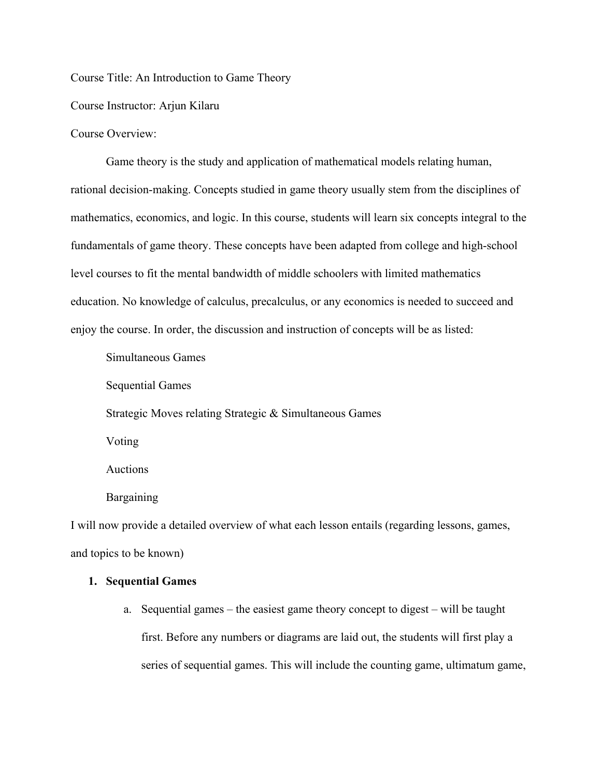Course Title: An Introduction to Game Theory

Course Instructor: Arjun Kilaru

Course Overview:

Game theory is the study and application of mathematical models relating human, rational decision-making. Concepts studied in game theory usually stem from the disciplines of mathematics, economics, and logic. In this course, students will learn six concepts integral to the fundamentals of game theory. These concepts have been adapted from college and high-school level courses to fit the mental bandwidth of middle schoolers with limited mathematics education. No knowledge of calculus, precalculus, or any economics is needed to succeed and enjoy the course. In order, the discussion and instruction of concepts will be as listed:

Simultaneous Games

Sequential Games

Strategic Moves relating Strategic & Simultaneous Games

Voting

Auctions

**Bargaining** 

I will now provide a detailed overview of what each lesson entails (regarding lessons, games, and topics to be known)

# **1. Sequential Games**

a. Sequential games – the easiest game theory concept to digest – will be taught first. Before any numbers or diagrams are laid out, the students will first play a series of sequential games. This will include the counting game, ultimatum game,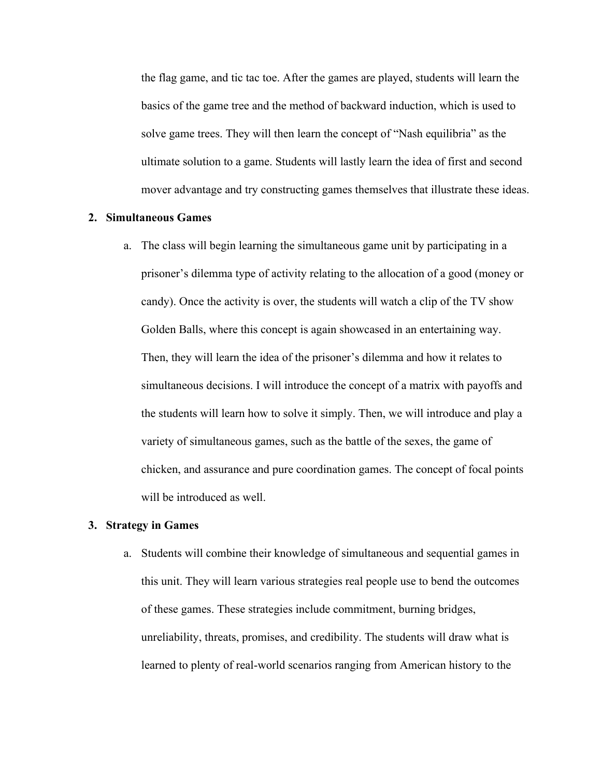the flag game, and tic tac toe. After the games are played, students will learn the basics of the game tree and the method of backward induction, which is used to solve game trees. They will then learn the concept of "Nash equilibria" as the ultimate solution to a game. Students will lastly learn the idea of first and second mover advantage and try constructing games themselves that illustrate these ideas.

## **2. Simultaneous Games**

a. The class will begin learning the simultaneous game unit by participating in a prisoner's dilemma type of activity relating to the allocation of a good (money or candy). Once the activity is over, the students will watch a clip of the TV show Golden Balls, where this concept is again showcased in an entertaining way. Then, they will learn the idea of the prisoner's dilemma and how it relates to simultaneous decisions. I will introduce the concept of a matrix with payoffs and the students will learn how to solve it simply. Then, we will introduce and play a variety of simultaneous games, such as the battle of the sexes, the game of chicken, and assurance and pure coordination games. The concept of focal points will be introduced as well.

## **3. Strategy in Games**

a. Students will combine their knowledge of simultaneous and sequential games in this unit. They will learn various strategies real people use to bend the outcomes of these games. These strategies include commitment, burning bridges, unreliability, threats, promises, and credibility. The students will draw what is learned to plenty of real-world scenarios ranging from American history to the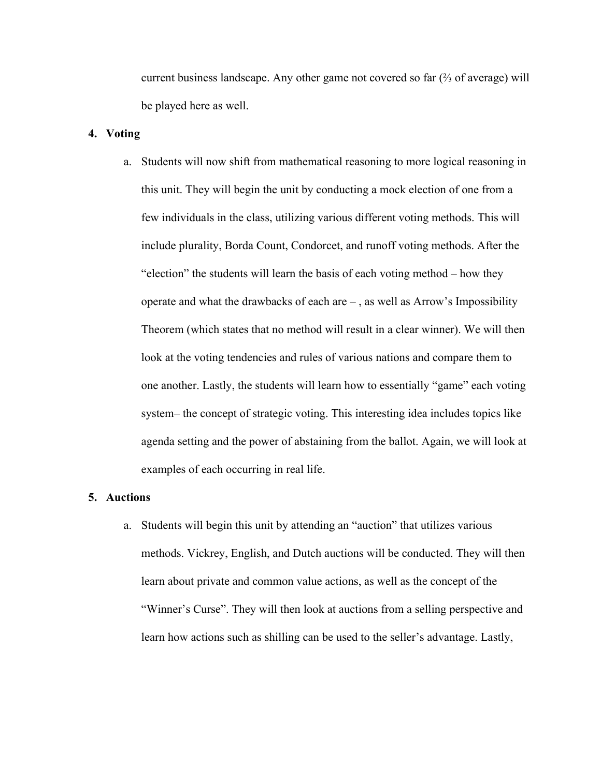current business landscape. Any other game not covered so far  $(\frac{2}{3})$  of average) will be played here as well.

### **4. Voting**

a. Students will now shift from mathematical reasoning to more logical reasoning in this unit. They will begin the unit by conducting a mock election of one from a few individuals in the class, utilizing various different voting methods. This will include plurality, Borda Count, Condorcet, and runoff voting methods. After the "election" the students will learn the basis of each voting method – how they operate and what the drawbacks of each are – , as well as Arrow's Impossibility Theorem (which states that no method will result in a clear winner). We will then look at the voting tendencies and rules of various nations and compare them to one another. Lastly, the students will learn how to essentially "game" each voting system– the concept of strategic voting. This interesting idea includes topics like agenda setting and the power of abstaining from the ballot. Again, we will look at examples of each occurring in real life.

# **5. Auctions**

a. Students will begin this unit by attending an "auction" that utilizes various methods. Vickrey, English, and Dutch auctions will be conducted. They will then learn about private and common value actions, as well as the concept of the "Winner's Curse". They will then look at auctions from a selling perspective and learn how actions such as shilling can be used to the seller's advantage. Lastly,